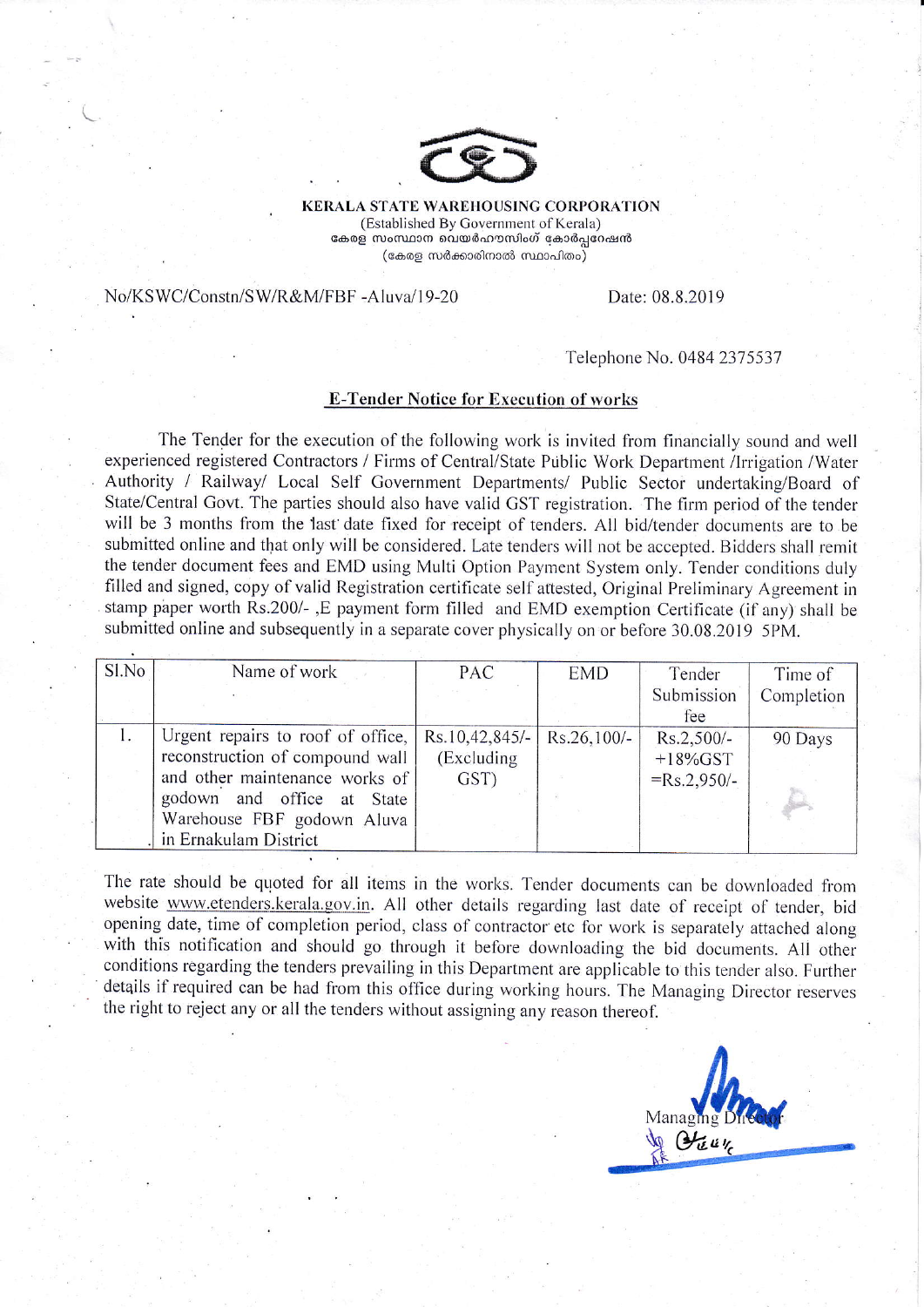

**KERALA STATE WAREHOUSING CORPORATION** (Established By Government of Kerala) കേരള സംസ്ഥാന വെയർഹൗസിംഗ് കോർപ്പറേഷൻ (കേരള സർക്കാരിനാൽ സ്ഥാപിതം)

No/KSWC/Constn/SW/R&M/FBF-Aluva/19-20

Date: 08.8.2019

## Telephone No. 0484 2375537

## **E-Tender Notice for Execution of works**

The Tender for the execution of the following work is invited from financially sound and well experienced registered Contractors / Firms of Central/State Public Work Department /Irrigation /Water Authority / Railway/ Local Self Government Departments/ Public Sector undertaking/Board of State/Central Govt. The parties should also have valid GST registration. The firm period of the tender will be 3 months from the last date fixed for receipt of tenders. All bid/tender documents are to be submitted online and that only will be considered. Late tenders will not be accepted. Bidders shall remit the tender document fees and EMD using Multi Option Payment System only. Tender conditions duly filled and signed, copy of valid Registration certificate self attested. Original Preliminary Agreement in stamp paper worth Rs.200/-, E payment form filled and EMD exemption Certificate (if any) shall be submitted online and subsequently in a separate cover physically on or before 30.08.2019 5PM.

| Sl.No | Name of work                      | <b>PAC</b>     | <b>EMD</b>    | Tender        | Time of    |
|-------|-----------------------------------|----------------|---------------|---------------|------------|
|       |                                   |                |               | Submission    | Completion |
|       |                                   |                |               | fee           |            |
|       | Urgent repairs to roof of office, | Rs.10,42,845/- | $Rs.26,100/-$ | $Rs.2,500/-$  | 90 Days    |
|       | reconstruction of compound wall   | (Excluding     |               | $+18\%$ GST   |            |
|       | and other maintenance works of    | GST)           |               | $=Rs.2,950/-$ |            |
|       | godown and office at State        |                |               |               |            |
|       | Warehouse FBF godown Aluva        |                |               |               |            |
|       | in Ernakulam District             |                |               |               |            |

The rate should be quoted for all items in the works. Tender documents can be downloaded from website www.etenders.kerala.gov.in. All other details regarding last date of receipt of tender, bid opening date, time of completion period, class of contractor etc for work is separately attached along with this notification and should go through it before downloading the bid documents. All other conditions regarding the tenders prevailing in this Department are applicable to this tender also. Further details if required can be had from this office during working hours. The Managing Director reserves the right to reject any or all the tenders without assigning any reason thereof.

Managing  $\mathcal{L}_{\mathcal{U}}$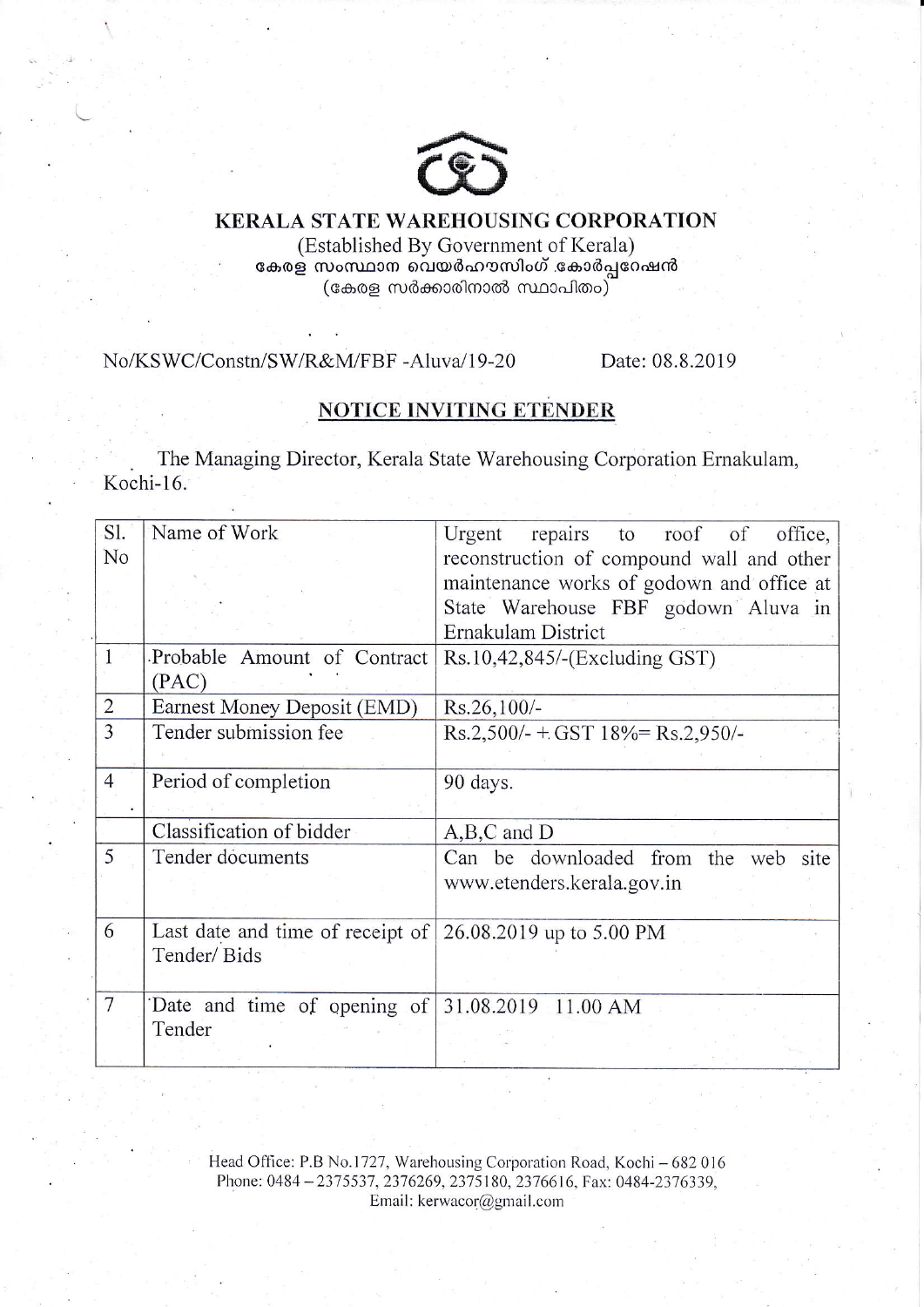

## KERALA STATE WAREHOUSING CORPORATION

(Established By Government of Kerala) കേരള സംസ്ഥാന വെയർഹൗസിംഗ് .കോർപ്പറേഷൻ (കേരള സർക്കാരിനാൽ സ്ഥാപിതം $\rangle$ 

No/KSWC/Constn/SW/R&M/FBF -Aluva/19-20 Date: 08.8.2019

## NOTICE INVITING ETENDER

The Managing Director, Kerala State Warehousing Corporation Ernakulam, Kochi-16.

| Sl.            | Name of Work                                                      | repairs to roof of<br>Urgent<br>office,   |
|----------------|-------------------------------------------------------------------|-------------------------------------------|
| No             |                                                                   | reconstruction of compound wall and other |
|                |                                                                   | maintenance works of godown and office at |
|                |                                                                   | State Warehouse FBF godown Aluva in       |
|                |                                                                   | Ernakulam District                        |
|                | Probable Amount of Contract                                       | Rs.10,42,845/-(Excluding GST)             |
|                | (PAC)                                                             |                                           |
| $\overline{2}$ | Earnest Money Deposit (EMD)                                       | $Rs.26,100/-$                             |
| 3              | Tender submission fee                                             | $Rs.2,500/- + GST 18\% = Rs.2,950/-$      |
|                |                                                                   |                                           |
| $\overline{4}$ | Period of completion                                              | 90 days.                                  |
|                |                                                                   |                                           |
|                | Classification of bidder                                          | $A,B,C$ and $D$                           |
| 5              | Tender documents                                                  | Can be downloaded from the web<br>site    |
|                |                                                                   | www.etenders.kerala.gov.in                |
|                |                                                                   |                                           |
| 6              | Last date and time of receipt of $\vert$ 26.08.2019 up to 5.00 PM |                                           |
|                | Tender/Bids                                                       |                                           |
|                |                                                                   |                                           |
| $\overline{7}$ | Date and time of opening of $31.08.2019$ 11.00 AM                 |                                           |
|                | Tender                                                            |                                           |
|                |                                                                   |                                           |

Head Office: P.B No.1727, Warehousing Corporation Road, Kochi - 682 016 Phone: 0484 - 2375537, 2376269, 2375180, 2376616, Fax: 0484-2376339, Email: kerwacor@gmail.com